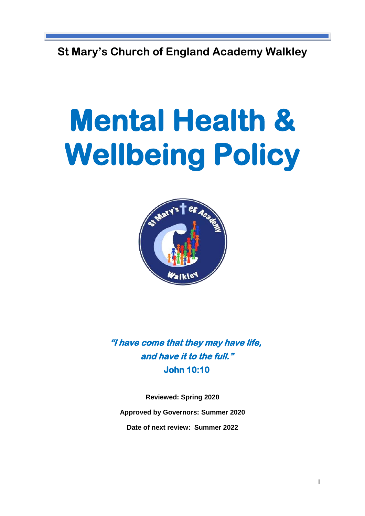**St Mary's Church of England Academy Walkley** 

# **Mental Health & Wellbeing Policy**



**"I have come that they may have life, and have it to the full." John 10:10** 

**Reviewed: Spring 2020 Approved by Governors: Summer 2020 Date of next review: Summer 2022**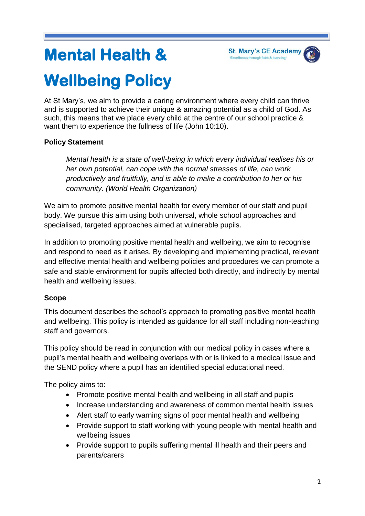# **Mental Health &**



# **Wellbeing Policy**

At St Mary's, we aim to provide a caring environment where every child can thrive and is supported to achieve their unique & amazing potential as a child of God. As such, this means that we place every child at the centre of our school practice & want them to experience the fullness of life (John 10:10).

# **Policy Statement**

*Mental health is a state of well-being in which every individual realises his or her own potential, can cope with the normal stresses of life, can work productively and fruitfully, and is able to make a contribution to her or his community. (World Health Organization)* 

We aim to promote positive mental health for every member of our staff and pupil body. We pursue this aim using both universal, whole school approaches and specialised, targeted approaches aimed at vulnerable pupils.

In addition to promoting positive mental health and wellbeing, we aim to recognise and respond to need as it arises. By developing and implementing practical, relevant and effective mental health and wellbeing policies and procedures we can promote a safe and stable environment for pupils affected both directly, and indirectly by mental health and wellbeing issues.

# **Scope**

This document describes the school's approach to promoting positive mental health and wellbeing. This policy is intended as guidance for all staff including non-teaching staff and governors.

This policy should be read in conjunction with our medical policy in cases where a pupil's mental health and wellbeing overlaps with or is linked to a medical issue and the SEND policy where a pupil has an identified special educational need.

The policy aims to:

- Promote positive mental health and wellbeing in all staff and pupils
- Increase understanding and awareness of common mental health issues
- Alert staff to early warning signs of poor mental health and wellbeing
- Provide support to staff working with young people with mental health and wellbeing issues
- Provide support to pupils suffering mental ill health and their peers and parents/carers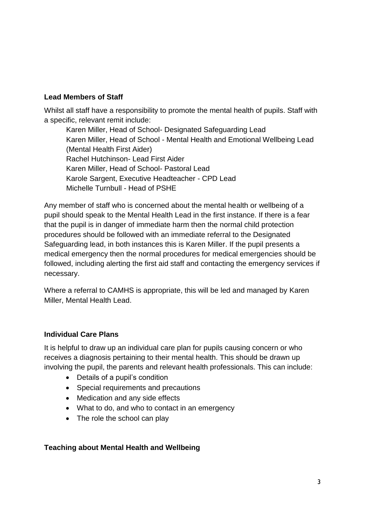#### **Lead Members of Staff**

Whilst all staff have a responsibility to promote the mental health of pupils. Staff with a specific, relevant remit include:

Karen Miller, Head of School- Designated Safeguarding Lead Karen Miller, Head of School - Mental Health and Emotional Wellbeing Lead (Mental Health First Aider) Rachel Hutchinson- Lead First Aider Karen Miller, Head of School- Pastoral Lead Karole Sargent, Executive Headteacher - CPD Lead Michelle Turnbull - Head of PSHE

Any member of staff who is concerned about the mental health or wellbeing of a pupil should speak to the Mental Health Lead in the first instance. If there is a fear that the pupil is in danger of immediate harm then the normal child protection procedures should be followed with an immediate referral to the Designated Safeguarding lead, in both instances this is Karen Miller. If the pupil presents a medical emergency then the normal procedures for medical emergencies should be followed, including alerting the first aid staff and contacting the emergency services if necessary.

Where a referral to CAMHS is appropriate, this will be led and managed by Karen Miller, Mental Health Lead.

#### **Individual Care Plans**

It is helpful to draw up an individual care plan for pupils causing concern or who receives a diagnosis pertaining to their mental health. This should be drawn up involving the pupil, the parents and relevant health professionals. This can include:

- Details of a pupil's condition
- Special requirements and precautions
- Medication and any side effects
- What to do, and who to contact in an emergency
- The role the school can play

#### **Teaching about Mental Health and Wellbeing**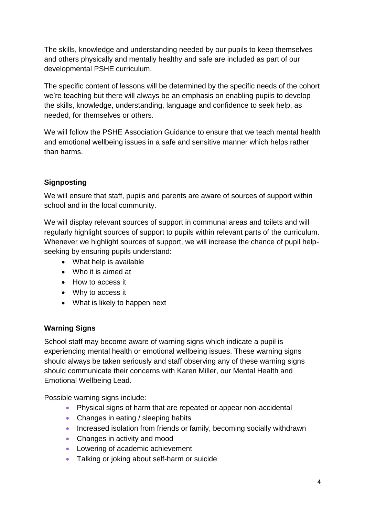The skills, knowledge and understanding needed by our pupils to keep themselves and others physically and mentally healthy and safe are included as part of our developmental PSHE curriculum.

The specific content of lessons will be determined by the specific needs of the cohort we're teaching but there will always be an emphasis on enabling pupils to develop the skills, knowledge, understanding, language and confidence to seek help, as needed, for themselves or others.

We will follow the PSHE Association Guidance to ensure that we teach mental health and emotional wellbeing issues in a safe and sensitive manner which helps rather than harms.

# **Signposting**

We will ensure that staff, pupils and parents are aware of sources of support within school and in the local community.

We will display relevant sources of support in communal areas and toilets and will regularly highlight sources of support to pupils within relevant parts of the curriculum. Whenever we highlight sources of support, we will increase the chance of pupil helpseeking by ensuring pupils understand:

- What help is available
- Who it is aimed at
- How to access it
- Why to access it
- What is likely to happen next

# **Warning Signs**

School staff may become aware of warning signs which indicate a pupil is experiencing mental health or emotional wellbeing issues. These warning signs should always be taken seriously and staff observing any of these warning signs should communicate their concerns with Karen Miller, our Mental Health and Emotional Wellbeing Lead.

Possible warning signs include:

- Physical signs of harm that are repeated or appear non-accidental
- Changes in eating / sleeping habits
- Increased isolation from friends or family, becoming socially withdrawn
- Changes in activity and mood
- Lowering of academic achievement
- Talking or joking about self-harm or suicide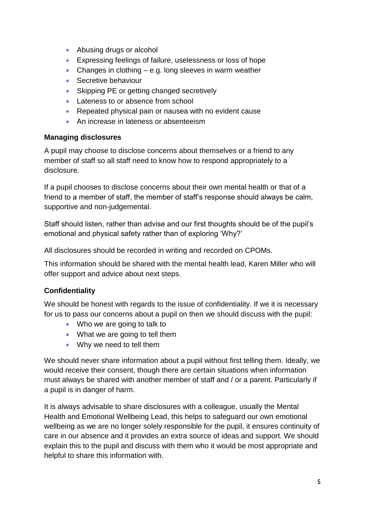- Abusing drugs or alcohol
- Expressing feelings of failure, uselessness or loss of hope
- Changes in clothing  $-$  e.g. long sleeves in warm weather
- Secretive behaviour
- Skipping PE or getting changed secretively
- Lateness to or absence from school
- Repeated physical pain or nausea with no evident cause
- An increase in lateness or absenteeism

#### **Managing disclosures**

A pupil may choose to disclose concerns about themselves or a friend to any member of staff so all staff need to know how to respond appropriately to a disclosure.

If a pupil chooses to disclose concerns about their own mental health or that of a friend to a member of staff, the member of staff's response should always be calm, supportive and non-judgemental.

Staff should listen, rather than advise and our first thoughts should be of the pupil's emotional and physical safety rather than of exploring 'Why?'

All disclosures should be recorded in writing and recorded on CPOMs.

This information should be shared with the mental health lead, Karen Miller who will offer support and advice about next steps.

# **Confidentiality**

We should be honest with regards to the issue of confidentiality. If we it is necessary for us to pass our concerns about a pupil on then we should discuss with the pupil:

- Who we are going to talk to
- What we are going to tell them
- Why we need to tell them

We should never share information about a pupil without first telling them. Ideally, we would receive their consent, though there are certain situations when information must always be shared with another member of staff and / or a parent. Particularly if a pupil is in danger of harm.

It is always advisable to share disclosures with a colleague, usually the Mental Health and Emotional Wellbeing Lead, this helps to safeguard our own emotional wellbeing as we are no longer solely responsible for the pupil, it ensures continuity of care in our absence and it provides an extra source of ideas and support. We should explain this to the pupil and discuss with them who it would be most appropriate and helpful to share this information with.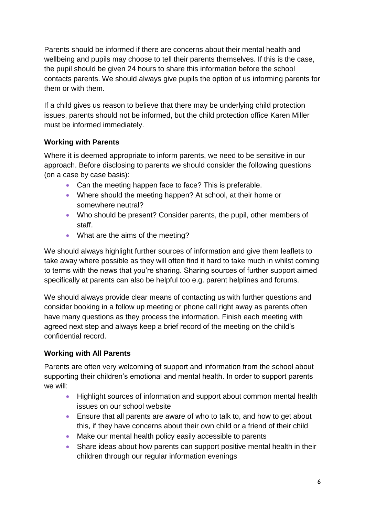Parents should be informed if there are concerns about their mental health and wellbeing and pupils may choose to tell their parents themselves. If this is the case, the pupil should be given 24 hours to share this information before the school contacts parents. We should always give pupils the option of us informing parents for them or with them.

If a child gives us reason to believe that there may be underlying child protection issues, parents should not be informed, but the child protection office Karen Miller must be informed immediately.

# **Working with Parents**

Where it is deemed appropriate to inform parents, we need to be sensitive in our approach. Before disclosing to parents we should consider the following questions (on a case by case basis):

- Can the meeting happen face to face? This is preferable.
- Where should the meeting happen? At school, at their home or somewhere neutral?
- Who should be present? Consider parents, the pupil, other members of staff.
- What are the aims of the meeting?

We should always highlight further sources of information and give them leaflets to take away where possible as they will often find it hard to take much in whilst coming to terms with the news that you're sharing. Sharing sources of further support aimed specifically at parents can also be helpful too e.g. parent helplines and forums.

We should always provide clear means of contacting us with further questions and consider booking in a follow up meeting or phone call right away as parents often have many questions as they process the information. Finish each meeting with agreed next step and always keep a brief record of the meeting on the child's confidential record.

#### **Working with All Parents**

Parents are often very welcoming of support and information from the school about supporting their children's emotional and mental health. In order to support parents we will:

- Highlight sources of information and support about common mental health issues on our school website
- Ensure that all parents are aware of who to talk to, and how to get about this, if they have concerns about their own child or a friend of their child
- Make our mental health policy easily accessible to parents
- Share ideas about how parents can support positive mental health in their children through our regular information evenings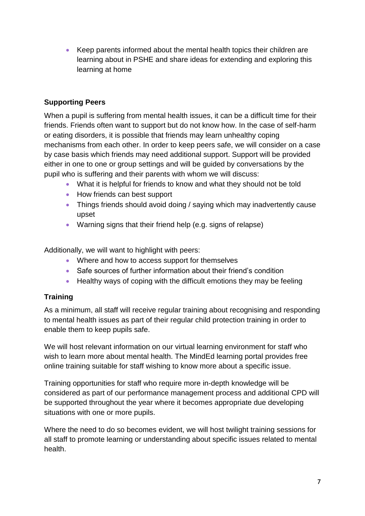Keep parents informed about the mental health topics their children are learning about in PSHE and share ideas for extending and exploring this learning at home

#### **Supporting Peers**

When a pupil is suffering from mental health issues, it can be a difficult time for their friends. Friends often want to support but do not know how. In the case of self-harm or eating disorders, it is possible that friends may learn unhealthy coping mechanisms from each other. In order to keep peers safe, we will consider on a case by case basis which friends may need additional support. Support will be provided either in one to one or group settings and will be guided by conversations by the pupil who is suffering and their parents with whom we will discuss:

- What it is helpful for friends to know and what they should not be told
- How friends can best support
- Things friends should avoid doing / saying which may inadvertently cause upset
- Warning signs that their friend help (e.g. signs of relapse)

Additionally, we will want to highlight with peers:

- Where and how to access support for themselves
- Safe sources of further information about their friend's condition
- Healthy ways of coping with the difficult emotions they may be feeling

#### **Training**

As a minimum, all staff will receive regular training about recognising and responding to mental health issues as part of their regular child protection training in order to enable them to keep pupils safe.

We will host relevant information on our virtual learning environment for staff who wish to learn more about mental health. The MindEd learning portal provides free online training suitable for staff wishing to know more about a specific issue.

Training opportunities for staff who require more in-depth knowledge will be considered as part of our performance management process and additional CPD will be supported throughout the year where it becomes appropriate due developing situations with one or more pupils.

Where the need to do so becomes evident, we will host twilight training sessions for all staff to promote learning or understanding about specific issues related to mental health.